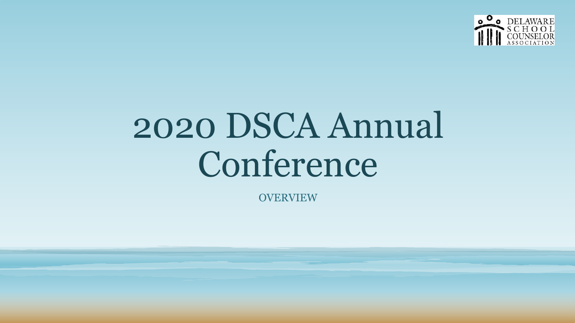

# 2020 DSCA Annual Conference

**OVERVIEW**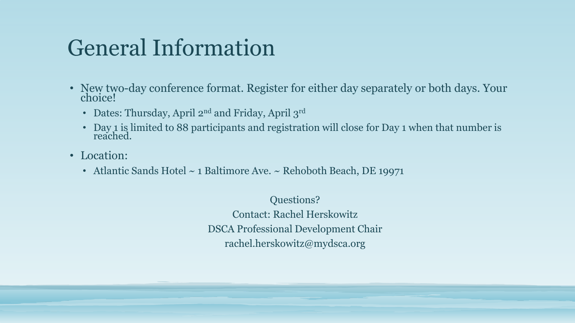# General Information

- New two-day conference format. Register for either day separately or both days. Your choice!
	- Dates: Thursday, April  $2^{nd}$  and Friday, April  $3^{rd}$
	- Day 1 is limited to 88 participants and registration will close for Day 1 when that number is reached.
- Location:
	- Atlantic Sands Hotel ~ 1 Baltimore Ave. ~ Rehoboth Beach, DE 19971

Questions? Contact: Rachel Herskowitz DSCA Professional Development Chair rachel.herskowitz@mydsca.org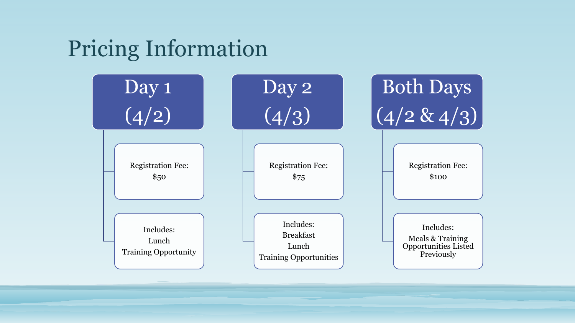# Pricing Information

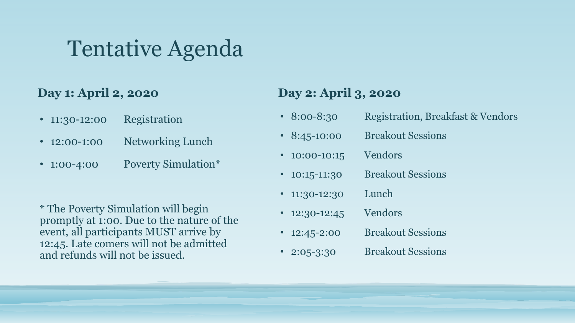## Tentative Agenda

#### **Day 1: April 2, 2020**

- 11:30-12:00 Registration
- 12:00-1:00 Networking Lunch
- 1:00-4:00 Poverty Simulation\*

\* The Poverty Simulation will begin promptly at 1:00. Due to the nature of the event, all participants MUST arrive by 12:45. Late comers will not be admitted and refunds will not be issued.

#### **Day 2: April 3, 2020**

- 8:00-8:30 Registration, Breakfast & Vendors
- 8:45-10:00 Breakout Sessions
- 10:00-10:15 Vendors
- 10:15-11:30 Breakout Sessions
- 11:30-12:30 Lunch
- 12:30-12:45 Vendors
- 12:45-2:00 Breakout Sessions
- 2:05-3:30 Breakout Sessions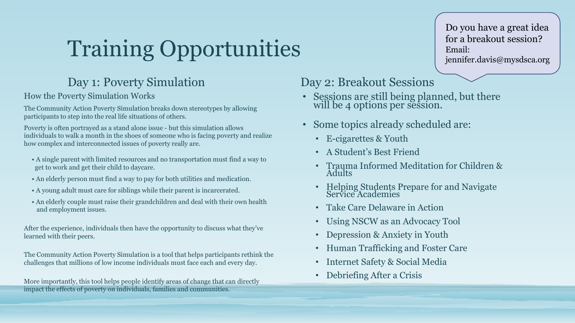# Training Opportunities

#### Day 1: Poverty Simulation

How the Poverty Simulation Works

The Community Action Poverty Simulation breaks down stereotypes by allowing participants to step into the real life situations of others.

Poverty is often portrayed as a stand alone issue - but this simulation allows individuals to walk a month in the shoes of someone who is facing poverty and realize how complex and interconnected issues of poverty really are.

- A single parent with limited resources and no transportation must find a way to get to work and get their child to daycare.
- An elderly person must find a way to pay for both utilities and medication.
- A young adult must care for siblings while their parent is incarcerated.
- An elderly couple must raise their grandchildren and deal with their own health and employment issues.

After the experience, individuals then have the opportunity to discuss what they've learned with their peers.

The Community Action Poverty Simulation is a tool that helps participants rethink the challenges that millions of low income individuals must face each and every day.

More importantly, this tool helps people identify areas of change that can directly impact the effects of poverty on individuals, families and communities.

#### Day 2: Breakout Sessions

- Sessions are still being planned, but there will be 4 options per session.
- Some topics already scheduled are:
	- E-cigarettes & Youth
	- A Student's Best Friend
	- Trauma Informed Meditation for Children & Adults
	- Helping Students Prepare for and Navigate Service Academies
	- Take Care Delaware in Action
	- Using NSCW as an Advocacy Tool
	- Depression & Anxiety in Youth
	- Human Trafficking and Foster Care
	- Internet Safety & Social Media
	- Debriefing After a Crisis

Do you have a great idea for a breakout session? Email: jennifer.davis@mysdsca.org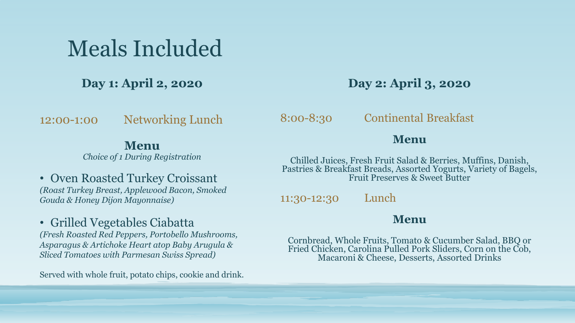## Meals Included

**Day 1: April 2, 2020**

12:00-1:00 Networking Lunch

#### **Menu**

*Choice of 1 During Registration*

• Oven Roasted Turkey Croissant *(Roast Turkey Breast, Applewood Bacon, Smoked Gouda & Honey Dijon Mayonnaise)*

• Grilled Vegetables Ciabatta

*(Fresh Roasted Red Peppers, Portobello Mushrooms, Asparagus & Artichoke Heart atop Baby Arugula & Sliced Tomatoes with Parmesan Swiss Spread)*

Served with whole fruit, potato chips, cookie and drink.

**Day 2: April 3, 2020**

8:00-8:30 Continental Breakfast

#### **Menu**

Chilled Juices, Fresh Fruit Salad & Berries, Muffins, Danish, Pastries & Breakfast Breads, Assorted Yogurts, Variety of Bagels, Fruit Preserves & Sweet Butter

11:30-12:30 Lunch

#### **Menu**

Cornbread, Whole Fruits, Tomato & Cucumber Salad, BBQ or Fried Chicken, Carolina Pulled Pork Sliders, Corn on the Cob, Macaroni & Cheese, Desserts, Assorted Drinks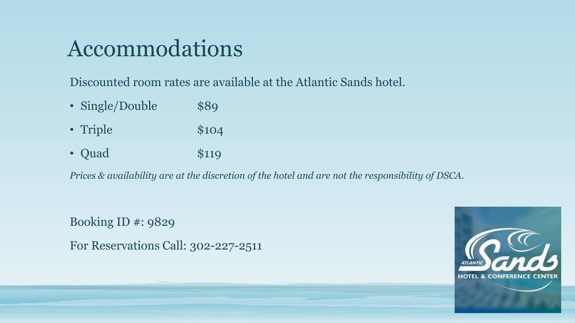## Accommodations

Discounted room rates are available at the Atlantic Sands hotel.

- Single/Double \$89
- Triple \$104
- Quad \$119

*Prices & availability are at the discretion of the hotel and are not the responsibility of DSCA.*

Booking ID #: 9829 For Reservations Call: 302-227-2511